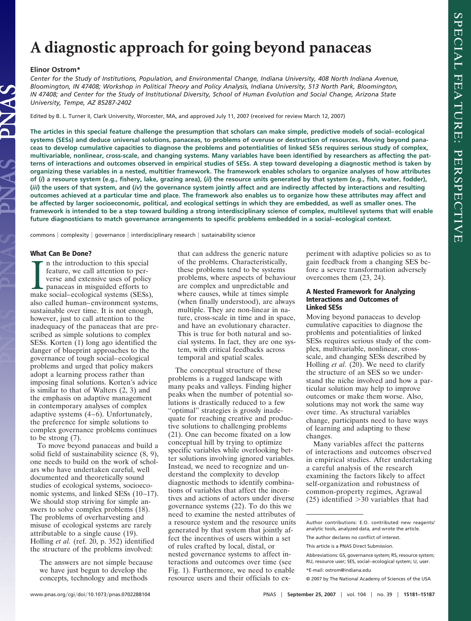# **A diagnostic approach for going beyond panaceas**

## **Elinor Ostrom\***

*Center for the Study of Institutions, Population, and Environmental Change, Indiana University, 408 North Indiana Avenue, Bloomington, IN 47408; Workshop in Political Theory and Policy Analysis, Indiana University, 513 North Park, Bloomington, IN 47408; and Center for the Study of Institutional Diversity, School of Human Evolution and Social Change, Arizona State University, Tempe, AZ 85287-2402*

Edited by B. L. Turner II, Clark University, Worcester, MA, and approved July 11, 2007 (received for review March 12, 2007)

**The articles in this special feature challenge the presumption that scholars can make simple, predictive models of social–ecological systems (SESs) and deduce universal solutions, panaceas, to problems of overuse or destruction of resources. Moving beyond panaceas to develop cumulative capacities to diagnose the problems and potentialities of linked SESs requires serious study of complex, multivariable, nonlinear, cross-scale, and changing systems. Many variables have been identified by researchers as affecting the patterns of interactions and outcomes observed in empirical studies of SESs. A step toward developing a diagnostic method is taken by organizing these variables in a nested, multitier framework. The framework enables scholars to organize analyses of how attributes of (***i***) a resource system (e.g., fishery, lake, grazing area), (***ii***) the resource units generated by that system (e.g., fish, water, fodder), (***iii***) the users of that system, and (***iv***) the governance system jointly affect and are indirectly affected by interactions and resulting outcomes achieved at a particular time and place. The framework also enables us to organize how these attributes may affect and be affected by larger socioeconomic, political, and ecological settings in which they are embedded, as well as smaller ones. The framework is intended to be a step toward building a strong interdisciplinary science of complex, multilevel systems that will enable future diagnosticians to match governance arrangements to specific problems embedded in a social–ecological context.**

commons | complexity | governance | interdisciplinary research | sustainability science

### **What Can Be Done?**

In the introduction to this special<br>feature, we call attention to per-<br>verse and extensive uses of policy<br>panaceas in misguided efforts to<br>make social–ecological systems (SESs), n the introduction to this special feature, we call attention to perverse and extensive uses of policy panaceas in misguided efforts to also called human–environment systems, sustainable over time. It is not enough, however, just to call attention to the inadequacy of the panaceas that are prescribed as simple solutions to complex SESs. Korten (1) long ago identified the danger of blueprint approaches to the governance of tough social–ecological problems and urged that policy makers adopt a learning process rather than imposing final solutions. Korten's advice is similar to that of Walters (2, 3) and the emphasis on adaptive management in contemporary analyses of complex adaptive systems (4–6). Unfortunately, the preference for simple solutions to complex governance problems continues to be strong (7).

To move beyond panaceas and build a solid field of sustainability science (8, 9), one needs to build on the work of scholars who have undertaken careful, well documented and theoretically sound studies of ecological systems, socioeconomic systems, and linked SESs (10–17). We should stop striving for simple answers to solve complex problems (18). The problems of overharvesting and misuse of ecological systems are rarely attributable to a single cause (19). Holling *et al.* (ref. 20, p. 352) identified the structure of the problems involved:

The answers are not simple because we have just begun to develop the concepts, technology and methods

that can address the generic nature of the problems. Characteristically, these problems tend to be systems problems, where aspects of behaviour are complex and unpredictable and where causes, while at times simple (when finally understood), are always multiple. They are non-linear in nature, cross-scale in time and in space, and have an evolutionary character. This is true for both natural and social systems. In fact, they are one system, with critical feedbacks across temporal and spatial scales.

The conceptual structure of these problems is a rugged landscape with many peaks and valleys. Finding higher peaks when the number of potential solutions is drastically reduced to a few "optimal" strategies is grossly inadequate for reaching creative and productive solutions to challenging problems (21). One can become fixated on a low conceptual hill by trying to optimize specific variables while overlooking better solutions involving ignored variables. Instead, we need to recognize and understand the complexity to develop diagnostic methods to identify combinations of variables that affect the incentives and actions of actors under diverse governance systems (22). To do this we need to examine the nested attributes of a resource system and the resource units generated by that system that jointly affect the incentives of users within a set of rules crafted by local, distal, or nested governance systems to affect interactions and outcomes over time (see Fig. 1). Furthermore, we need to enable resource users and their officials to experiment with adaptive policies so as to gain feedback from a changing SES before a severe transformation adversely overcomes them (23, 24).

#### **A Nested Framework for Analyzing Interactions and Outcomes of Linked SESs**

Moving beyond panaceas to develop cumulative capacities to diagnose the problems and potentialities of linked SESs requires serious study of the complex, multivariable, nonlinear, crossscale, and changing SESs described by Holling *et al.* (20). We need to clarify the structure of an SES so we understand the niche involved and how a particular solution may help to improve outcomes or make them worse. Also, solutions may not work the same way over time. As structural variables change, participants need to have ways of learning and adapting to these changes.

Many variables affect the patterns of interactions and outcomes observed in empirical studies. After undertaking a careful analysis of the research examining the factors likely to affect self-organization and robustness of common-property regimes, Agrawal  $(25)$  identified  $>30$  variables that had

Abbreviations: GS, governance system; RS, resource system; RU, resource user; SES, social– ecological system; U, user. \*E-mail: ostrom@indiana.edu

Author contributions: E.O. contributed new reagents/ analytic tools, analyzed data, and wrote the article.

The author declares no conflict of interest.

This article is a PNAS Direct Submission.

<sup>© 2007</sup> by The National Academy of Sciences of the USA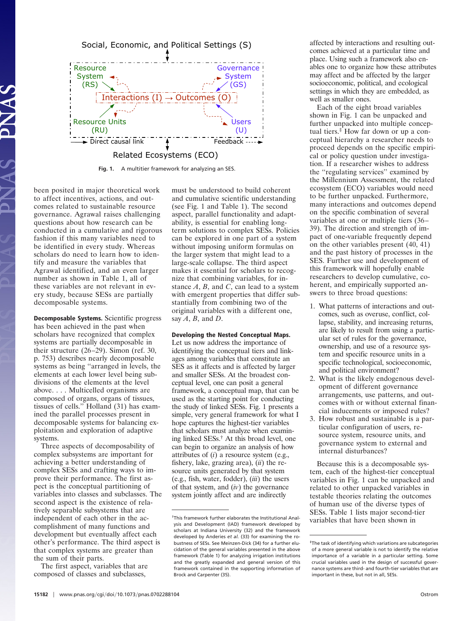

**Fig. 1.** A multitier framework for analyzing an SES.

been posited in major theoretical work to affect incentives, actions, and outcomes related to sustainable resource governance. Agrawal raises challenging questions about how research can be conducted in a cumulative and rigorous fashion if this many variables need to be identified in every study. Whereas scholars do need to learn how to identify and measure the variables that Agrawal identified, and an even larger number as shown in Table 1, all of these variables are not relevant in every study, because SESs are partially decomposable systems.

**Decomposable Systems.** Scientific progress has been achieved in the past when scholars have recognized that complex systems are partially decomposable in their structure (26–29). Simon (ref. 30, p. 753) describes nearly decomposable systems as being "arranged in levels, the elements at each lower level being subdivisions of the elements at the level above.... Multicelled organisms are composed of organs, organs of tissues, tissues of cells.'' Holland (31) has examined the parallel processes present in decomposable systems for balancing exploitation and exploration of adaptive systems.

Three aspects of decomposability of complex subsystems are important for achieving a better understanding of complex SESs and crafting ways to improve their performance. The first aspect is the conceptual partitioning of variables into classes and subclasses. The second aspect is the existence of relatively separable subsystems that are independent of each other in the accomplishment of many functions and development but eventually affect each other's performance. The third aspect is that complex systems are greater than the sum of their parts.

The first aspect, variables that are composed of classes and subclasses,

must be understood to build coherent and cumulative scientific understanding (see Fig. 1 and Table 1). The second aspect, parallel functionality and adaptability, is essential for enabling longterm solutions to complex SESs. Policies can be explored in one part of a system without imposing uniform formulas on the larger system that might lead to a large-scale collapse. The third aspect makes it essential for scholars to recognize that combining variables, for instance  $A$ ,  $B$ , and  $C$ , can lead to a system with emergent properties that differ substantially from combining two of the original variables with a different one, say *A*, *B*, and *D*.

#### **Developing the Nested Conceptual Maps.**

Let us now address the importance of identifying the conceptual tiers and linkages among variables that constitute an SES as it affects and is affected by larger and smaller SESs. At the broadest conceptual level, one can posit a general framework, a conceptual map, that can be used as the starting point for conducting the study of linked SESs. Fig. 1 presents a simple, very general framework for what I hope captures the highest-tier variables that scholars must analyze when examining linked SESs.† At this broad level, one can begin to organize an analysis of how attributes of (*i*) a resource system (e.g., fishery, lake, grazing area), (*ii*) the resource units generated by that system (e.g., fish, water, fodder), (*iii*) the users of that system, and (*iv*) the governance system jointly affect and are indirectly

affected by interactions and resulting outcomes achieved at a particular time and place. Using such a framework also enables one to organize how these attributes may affect and be affected by the larger socioeconomic, political, and ecological settings in which they are embedded, as well as smaller ones.

Each of the eight broad variables shown in Fig. 1 can be unpacked and further unpacked into multiple conceptual tiers.‡ How far down or up a conceptual hierarchy a researcher needs to proceed depends on the specific empirical or policy question under investigation. If a researcher wishes to address the ''regulating services'' examined by the Millennium Assessment, the related ecosystem (ECO) variables would need to be further unpacked. Furthermore, many interactions and outcomes depend on the specific combination of several variables at one or multiple tiers (36– 39). The direction and strength of impact of one-variable frequently depend on the other variables present (40, 41) and the past history of processes in the SES. Further use and development of this framework will hopefully enable researchers to develop cumulative, coherent, and empirically supported answers to three broad questions:

- 1. What patterns of interactions and outcomes, such as overuse, conflict, collapse, stability, and increasing returns, are likely to result from using a particular set of rules for the governance, ownership, and use of a resource system and specific resource units in a specific technological, socioeconomic, and political environment?
- 2. What is the likely endogenous development of different governance arrangements, use patterns, and outcomes with or without external financial inducements or imposed rules?
- 3. How robust and sustainable is a particular configuration of users, resource system, resource units, and governance system to external and internal disturbances?

Because this is a decomposable system, each of the highest-tier conceptual variables in Fig. 1 can be unpacked and related to other unpacked variables in testable theories relating the outcomes of human use of the diverse types of SESs. Table 1 lists major second-tier

<sup>&</sup>lt;sup>†</sup>This framework further elaborates the Institutional Anal-<br>wariables that have been shown in<br>in the Development (IAD) framework developed by ysis and Development (IAD) framework developed by scholars at Indiana University (32) and the framework developed by Anderies *et al.* (33) for examining the robustness of SESs. See Meinzen-Dick (34) for a further elucidation of the general variables presented in the above framework (Table 1) for analyzing irrigation institutions and the greatly expanded and general version of this framework contained in the supporting information of Brock and Carpenter (35).

<sup>‡</sup>The task of identifying which variations are subcategories of a more general variable is not to identify the relative importance of a variable in a particular setting. Some crucial variables used in the design of successful governance systems are third- and fourth-tier variables that are important in these, but not in all, SESs.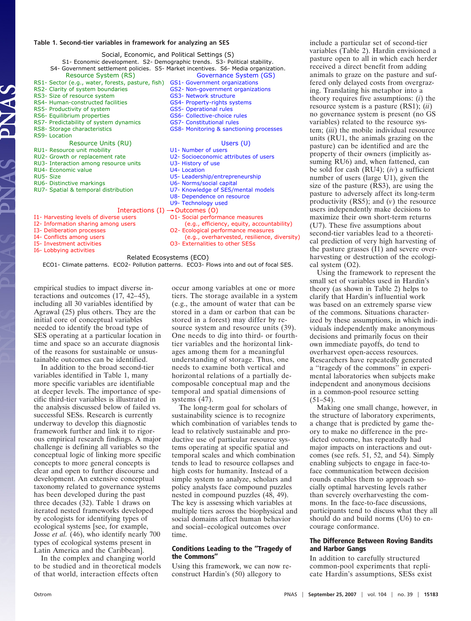#### **Table 1. Second-tier variables in framework for analyzing an SES**

|                                                   | Social, Economic, and Political Settings (S)                                       |
|---------------------------------------------------|------------------------------------------------------------------------------------|
|                                                   | S1- Economic development. S2- Demographic trends. S3- Political stability.         |
|                                                   | S4- Government settlement policies. S5- Market incentives. S6- Media organization. |
| Resource System (RS)                              | Governance System (GS)                                                             |
| RS1- Sector (e.g., water, forests, pasture, fish) | <b>GS1- Government organizations</b>                                               |
| RS2- Clarity of system boundaries                 | GS2- Non-government organizations                                                  |
| RS3- Size of resource system                      | <b>GS3- Network structure</b>                                                      |
| RS4- Human-constructed facilities                 | GS4- Property-rights systems                                                       |
| RS5- Productivity of system                       | <b>GS5- Operational rules</b>                                                      |
| RS6- Equilibrium properties                       | GS6- Collective-choice rules                                                       |
| RS7- Predictability of system dynamics            | <b>GS7- Constitutional rules</b>                                                   |
| RS8- Storage characteristics                      | GS8- Monitoring & sanctioning processes                                            |
| RS9-Location                                      |                                                                                    |
| Resource Units (RU)                               | Users (U)                                                                          |
| RU1- Resource unit mobility                       | U1- Number of users                                                                |
| RU2- Growth or replacement rate                   | U2- Socioeconomic attributes of users                                              |
| RU3- Interaction among resource units             | U3- History of use                                                                 |
| <b>RU4- Economic value</b>                        | U4-Location                                                                        |
| <b>RU5- Size</b>                                  | U5- Leadership/entrepreneurship                                                    |
| RU6- Distinctive markings                         | U6- Norms/social capital                                                           |
| RU7- Spatial & temporal distribution              | U7- Knowledge of SES/mental models                                                 |
|                                                   | U8- Dependence on resource                                                         |
|                                                   | U9- Technology used                                                                |
|                                                   | Interactions $(I) \rightarrow$ Outcomes $(0)$                                      |
| I1- Harvesting levels of diverse users            | O1- Social performance measures                                                    |
| I2- Information sharing among users               | (e.g., efficiency, equity, accountability)                                         |
| <b>I3- Deliberation processes</b>                 | O2- Ecological performance measures                                                |
| I4- Conflicts among users                         | (e.g., overharvested, resilience, diversi                                          |

diversity) O3- Externalities to other SESs

Related Ecosystems (ECO)

ECO1- Climate patterns. ECO2- Pollution patterns. ECO3- Flows into and out of focal SES.

empirical studies to impact diverse interactions and outcomes (17, 42–45), including all 30 variables identified by Agrawal (25) plus others. They are the initial core of conceptual variables needed to identify the broad type of SES operating at a particular location in time and space so an accurate diagnosis of the reasons for sustainable or unsustainable outcomes can be identified.

I5- Investment activities I6- Lobbying activities

In addition to the broad second-tier variables identified in Table 1, many more specific variables are identifiable at deeper levels. The importance of specific third-tier variables is illustrated in the analysis discussed below of failed vs. successful SESs. Research is currently underway to develop this diagnostic framework further and link it to rigorous empirical research findings. A major challenge is defining all variables so the conceptual logic of linking more specific concepts to more general concepts is clear and open to further discourse and development. An extensive conceptual taxonomy related to governance systems has been developed during the past three decades (32). Table 1 draws on iterated nested frameworks developed by ecologists for identifying types of ecological systems [see, for example, Josse *et al.* (46), who identify nearly 700 types of ecological systems present in Latin America and the Caribbean].

In the complex and changing world to be studied and in theoretical models of that world, interaction effects often

occur among variables at one or more tiers. The storage available in a system (e.g., the amount of water that can be stored in a dam or carbon that can be stored in a forest) may differ by resource system and resource units (39). One needs to dig into third- or fourthtier variables and the horizontal linkages among them for a meaningful understanding of storage. Thus, one needs to examine both vertical and horizontal relations of a partially decomposable conceptual map and the temporal and spatial dimensions of systems (47).

The long-term goal for scholars of sustainability science is to recognize which combination of variables tends to lead to relatively sustainable and productive use of particular resource systems operating at specific spatial and temporal scales and which combination tends to lead to resource collapses and high costs for humanity. Instead of a simple system to analyze, scholars and policy analysts face compound puzzles nested in compound puzzles (48, 49). The key is assessing which variables at multiple tiers across the biophysical and social domains affect human behavior and social–ecological outcomes over time.

### **Conditions Leading to the ''Tragedy of the Commons''**

Using this framework, we can now reconstruct Hardin's (50) allegory to

include a particular set of second-tier variables (Table 2). Hardin envisioned a pasture open to all in which each herder received a direct benefit from adding animals to graze on the pasture and suffered only delayed costs from overgrazing. Translating his metaphor into a theory requires five assumptions: (*i*) the resource system is a pasture (RS1); (*ii*) no governance system is present (no GS variables) related to the resource system; (*iii*) the mobile individual resource units (RU1, the animals grazing on the pasture) can be identified and are the property of their owners (implicitly assuming RU6) and, when fattened, can be sold for cash (RU4); (*iv*) a sufficient number of users (large U1), given the size of the pasture (RS3), are using the pasture to adversely affect its long-term productivity (RS5); and (*v*) the resource users independently make decisions to maximize their own short-term returns (U7). These five assumptions about second-tier variables lead to a theoretical prediction of very high harvesting of the pasture grasses (I1) and severe overharvesting or destruction of the ecological system (O2).

Using the framework to represent the small set of variables used in Hardin's theory (as shown in Table 2) helps to clarify that Hardin's influential work was based on an extremely sparse view of the commons. Situations characterized by these assumptions, in which individuals independently make anonymous decisions and primarily focus on their own immediate payoffs, do tend to overharvest open-access resources. Researchers have repeatedly generated a ''tragedy of the commons'' in experimental laboratories when subjects make independent and anonymous decisions in a common-pool resource setting  $(51–54)$ .

Making one small change, however, in the structure of laboratory experiments, a change that is predicted by game theory to make no difference in the predicted outcome, has repeatedly had major impacts on interactions and outcomes (see refs. 51, 52, and 54). Simply enabling subjects to engage in face-toface communication between decision rounds enables them to approach socially optimal harvesting levels rather than severely overharvesting the commons. In the face-to-face discussions, participants tend to discuss what they all should do and build norms (U6) to encourage conformance.

## **The Difference Between Roving Bandits and Harbor Gangs**

In addition to carefully structured common-pool experiments that replicate Hardin's assumptions, SESs exist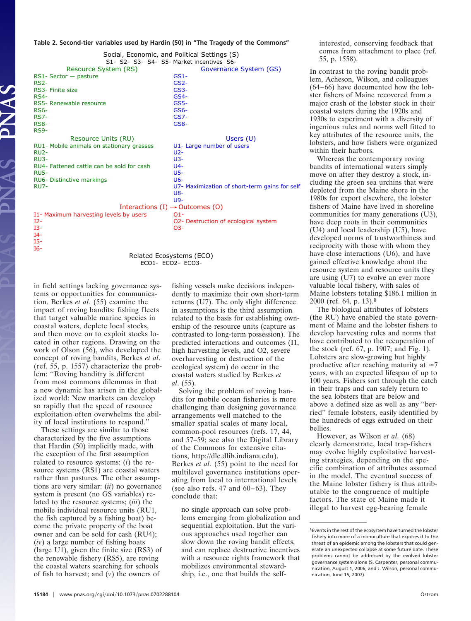#### **Table 2. Second-tier variables used by Hardin (50) in "The Tragedy of the Commons"**

| Social, Economic, and Political Settings (S)<br>S1- S2- S3- S4- S5- Market incentives S6- |                                               |
|-------------------------------------------------------------------------------------------|-----------------------------------------------|
| Resource System (RS)                                                                      | Governance System (GS)                        |
| $RS1 - Sector - pasture$                                                                  | $GS1-$                                        |
| $RS2-$                                                                                    | $GS2-$                                        |
| RS3- Finite size                                                                          | $GS3-$                                        |
| <b>RS4-</b>                                                                               | $GS4-$                                        |
| RS5- Renewable resource                                                                   | <b>GS5-</b>                                   |
| <b>RS6-</b>                                                                               | $GS6-$                                        |
| <b>RS7-</b>                                                                               | <b>GS7-</b>                                   |
| <b>RS8-</b>                                                                               | <b>GS8-</b>                                   |
| <b>RS9-</b>                                                                               |                                               |
| Resource Units (RU)                                                                       | Users $(U)$                                   |
| RU1- Mobile animals on stationary grasses                                                 | U1- Large number of users                     |
| <b>RU2-</b>                                                                               | $U2-$                                         |
| $RU3-$                                                                                    | $U3-$                                         |
| RU4- Fattened cattle can be sold for cash                                                 | $U4-$                                         |
| <b>RU5-</b>                                                                               | $U5-$                                         |
| RU6- Distinctive markings                                                                 | $U6-$                                         |
| <b>RU7-</b>                                                                               | U7- Maximization of short-term gains for self |
|                                                                                           | $U8-$                                         |
|                                                                                           | $U9-$                                         |
|                                                                                           | Interactions (I) $\rightarrow$ Outcomes (O)   |
| I1- Maximum harvesting levels by users                                                    | $O1 -$                                        |
| $I2-$                                                                                     | O2- Destruction of ecological system          |
| $I3-$                                                                                     | $O3-$                                         |
| $I4-$                                                                                     |                                               |
| $15-$                                                                                     |                                               |
| $I6-$                                                                                     |                                               |

Related Ecosystems (ECO) ECO1- ECO2- ECO3-

in field settings lacking governance systems or opportunities for communication. Berkes *et al.* (55) examine the impact of roving bandits: fishing fleets that target valuable marine species in coastal waters, deplete local stocks, and then move on to exploit stocks located in other regions. Drawing on the work of Olson (56), who developed the concept of roving bandits, Berkes *et al*. (ref. 55, p. 1557) characterize the problem: ''Roving banditry is different from most commons dilemmas in that a new dynamic has arisen in the globalized world: New markets can develop so rapidly that the speed of resource exploitation often overwhelms the ability of local institutions to respond.''

These settings are similar to those characterized by the five assumptions that Hardin (50) implicitly made, with the exception of the first assumption related to resource systems: (*i*) the resource systems (RS1) are coastal waters rather than pastures. The other assumptions are very similar: (*ii*) no governance system is present (no GS variables) related to the resource systems; (*iii*) the mobile individual resource units (RU1, the fish captured by a fishing boat) become the private property of the boat owner and can be sold for cash (RU4); (*iv*) a large number of fishing boats (large U1), given the finite size (RS3) of the renewable fishery (RS5), are roving the coastal waters searching for schools of fish to harvest; and (*v*) the owners of

fishing vessels make decisions independently to maximize their own short-term returns (U7). The only slight difference in assumptions is the third assumption related to the basis for establishing ownership of the resource units (capture as contrasted to long-term possession). The predicted interactions and outcomes (I1, high harvesting levels, and O2, severe overharvesting or destruction of the ecological system) do occur in the coastal waters studied by Berkes *et al*. (55).

Solving the problem of roving bandits for mobile ocean fisheries is more challenging than designing governance arrangements well matched to the smaller spatial scales of many local, common-pool resources (refs. 17, 44, and 57–59; see also the Digital Library of the Commons for extensive citations, http://dlc.dlib.indiana.edu). Berkes *et al.* (55) point to the need for multilevel governance institutions operating from local to international levels (see also refs.  $47$  and  $60-63$ ). They conclude that:

no single approach can solve problems emerging from globalization and sequential exploitation. But the various approaches used together can slow down the roving bandit effects, and can replace destructive incentives with a resource rights framework that mobilizes environmental stewardship, i.e., one that builds the selfinterested, conserving feedback that comes from attachment to place (ref. 55, p. 1558).

In contrast to the roving bandit problem, Acheson, Wilson, and colleagues (64–66) have documented how the lobster fishers of Maine recovered from a major crash of the lobster stock in their coastal waters during the 1920s and 1930s to experiment with a diversity of ingenious rules and norms well fitted to key attributes of the resource units, the lobsters, and how fishers were organized within their harbors.

Whereas the contemporary roving bandits of international waters simply move on after they destroy a stock, including the green sea urchins that were depleted from the Maine shore in the 1980s for export elsewhere, the lobster fishers of Maine have lived in shoreline communities for many generations (U3), have deep roots in their communities (U4) and local leadership (U5), have developed norms of trustworthiness and reciprocity with those with whom they have close interactions (U6), and have gained effective knowledge about the resource system and resource units they are using (U7) to evolve an ever more valuable local fishery, with sales of Maine lobsters totaling \$186.1 million in 2000 (ref. 64, p. 13).§

The biological attributes of lobsters (the RU) have enabled the state government of Maine and the lobster fishers to develop harvesting rules and norms that have contributed to the recuperation of the stock (ref. 67, p. 1907; and Fig. 1). Lobsters are slow-growing but highly productive after reaching maturity at  $\approx$ 7 years, with an expected lifespan of up to 100 years. Fishers sort through the catch in their traps and can safely return to the sea lobsters that are below and above a defined size as well as any ''berried'' female lobsters, easily identified by the hundreds of eggs extruded on their bellies.

However, as Wilson *et al.* (68) clearly demonstrate, local trap-fishers may evolve highly exploitative harvesting strategies, depending on the specific combination of attributes assumed in the model. The eventual success of the Maine lobster fishery is thus attributable to the congruence of multiple factors. The state of Maine made it illegal to harvest egg-bearing female

<sup>§</sup>Events in the rest of the ecosystem have turned the lobster fishery into more of a monoculture that exposes it to the threat of an epidemic among the lobsters that could generate an unexpected collapse at some future date. These problems cannot be addressed by the evolved lobster governance system alone (S. Carpenter, personal communication, August 1, 2006; and J. Wilson, personal communication, June 15, 2007).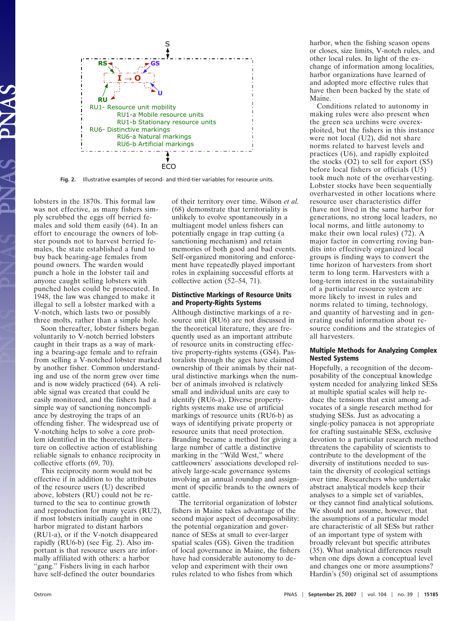

**Fig. 2.** Illustrative examples of second- and third-tier variables for resource units.

lobsters in the 1870s. This formal law was not effective, as many fishers simply scrubbed the eggs off berried females and sold them easily (64). In an effort to encourage the owners of lobster pounds not to harvest berried females, the state established a fund to buy back bearing-age females from pound owners. The warden would punch a hole in the lobster tail and anyone caught selling lobsters with punched holes could be prosecuted. In 1948, the law was changed to make it illegal to sell a lobster marked with a V-notch, which lasts two or possibly three molts, rather than a simple hole.

Soon thereafter, lobster fishers began voluntarily to V-notch berried lobsters caught in their traps as a way of marking a bearing-age female and to refrain from selling a V-notched lobster marked by another fisher. Common understanding and use of the norm grew over time and is now widely practiced (64). A reliable signal was created that could be easily monitored, and the fishers had a simple way of sanctioning noncompliance by destroying the traps of an offending fisher. The widespread use of V-notching helps to solve a core problem identified in the theoretical literature on collective action of establishing reliable signals to enhance reciprocity in collective efforts (69, 70).

This reciprocity norm would not be effective if in addition to the attributes of the resource users (U) described above, lobsters (RU) could not be returned to the sea to continue growth and reproduction for many years (RU2), if most lobsters initially caught in one harbor migrated to distant harbors (RU1-a), or if the V-notch disappeared rapidly (RU6-b) (see Fig. 2). Also important is that resource users are informally affiliated with others: a harbor "gang." Fishers living in each harbor have self-defined the outer boundaries

of their territory over time. Wilson *et al.* (68) demonstrate that territoriality is unlikely to evolve spontaneously in a multiagent model unless fishers can potentially engage in trap cutting (a sanctioning mechanism) and retain memories of both good and bad events. Self-organized monitoring and enforcement have repeatedly played important roles in explaining successful efforts at collective action (52–54, 71).

#### **Distinctive Markings of Resource Units and Property-Rights Systems**

Although distinctive markings of a resource unit (RU6) are not discussed in the theoretical literature, they are frequently used as an important attribute of resource units in constructing effective property-rights systems (GS4). Pastoralists through the ages have claimed ownership of their animals by their natural distinctive markings when the number of animals involved is relatively small and individual units are easy to identify (RU6-a). Diverse propertyrights systems make use of artificial markings of resource units (RU6-b) as ways of identifying private property or resource units that need protection. Branding became a method for giving a large number of cattle a distinctive marking in the "Wild West," where cattleowners' associations developed relatively large-scale governance systems involving an annual roundup and assignment of specific brands to the owners of cattle.

The territorial organization of lobster fishers in Maine takes advantage of the second major aspect of decomposability: the potential organization and governance of SESs at small to ever-larger spatial scales (GS). Given the tradition of local governance in Maine, the fishers have had considerable autonomy to develop and experiment with their own rules related to who fishes from which

harbor, when the fishing season opens or closes, size limits, V-notch rules, and other local rules. In light of the exchange of information among localities, harbor organizations have learned of and adopted more effective rules that have then been backed by the state of Maine.

Conditions related to autonomy in making rules were also present when the green sea urchins were overexploited, but the fishers in this instance were not local (U2), did not share norms related to harvest levels and practices (U6), and rapidly exploited the stocks (O2) to sell for export (S5) before local fishers or officials (U5) took much note of the overharvesting. Lobster stocks have been sequentially overharvested in other locations where resource user characteristics differ (have not lived in the same harbor for generations, no strong local leaders, no local norms, and little autonomy to make their own local rules) (72). A major factor in converting roving bandits into effectively organized local groups is finding ways to convert the time horizon of harvesters from short term to long term. Harvesters with a long-term interest in the sustainability of a particular resource system are more likely to invest in rules and norms related to timing, technology, and quantity of harvesting and in generating useful information about resource conditions and the strategies of all harvesters.

## **Multiple Methods for Analyzing Complex Nested Systems**

Hopefully, a recognition of the decomposability of the conceptual knowledge system needed for analyzing linked SESs at multiple spatial scales will help reduce the tensions that exist among advocates of a single research method for studying SESs. Just as advocating a single-policy panacea is not appropriate for crafting sustainable SESs, exclusive devotion to a particular research method threatens the capability of scientists to contribute to the development of the diversity of institutions needed to sustain the diversity of ecological settings over time. Researchers who undertake abstract analytical models keep their analyses to a simple set of variables, or they cannot find analytical solutions. We should not assume, however, that the assumptions of a particular model are characteristic of all SESs but rather of an important type of system with broadly relevant but specific attributes (35). What analytical differences result when one dips down a conceptual level and changes one or more assumptions? Hardin's (50) original set of assumptions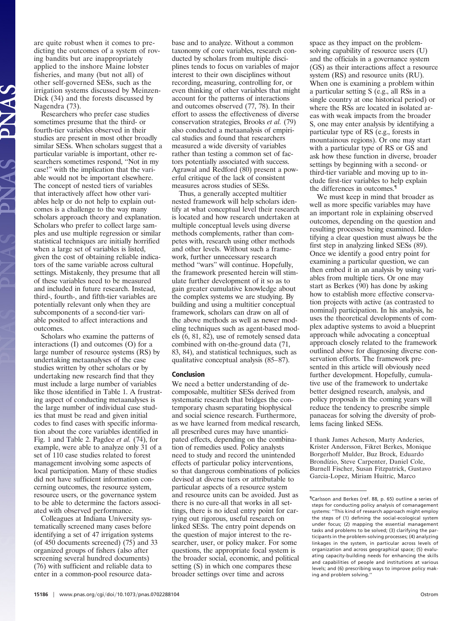are quite robust when it comes to predicting the outcomes of a system of roving bandits but are inappropriately applied to the inshore Maine lobster fisheries, and many (but not all) of other self-governed SESs, such as the irrigation systems discussed by Meinzen-Dick (34) and the forests discussed by Nagendra (73).

Researchers who prefer case studies sometimes presume that the third- or fourth-tier variables observed in their studies are present in most other broadly similar SESs. When scholars suggest that a particular variable is important, other researchers sometimes respond, ''Not in my case!'' with the implication that the variable would not be important elsewhere. The concept of nested tiers of variables that interactively affect how other variables help or do not help to explain outcomes is a challenge to the way many scholars approach theory and explanation. Scholars who prefer to collect large samples and use multiple regression or similar statistical techniques are initially horrified when a large set of variables is listed, given the cost of obtaining reliable indicators of the same variable across cultural settings. Mistakenly, they presume that all of these variables need to be measured and included in future research. Instead, third-, fourth-, and fifth-tier variables are potentially relevant only when they are subcomponents of a second-tier variable posited to affect interactions and outcomes.

Scholars who examine the patterns of interactions (I) and outcomes (O) for a large number of resource systems (RS) by undertaking metaanalyses of the case studies written by other scholars or by undertaking new research find that they must include a large number of variables like those identified in Table 1. A frustrating aspect of conducting metaanalyses is the large number of individual case studies that must be read and given initial codes to find cases with specific information about the core variables identified in Fig. 1 and Table 2. Pagdee *et al.* (74), for example, were able to analyze only 31 of a set of 110 case studies related to forest management involving some aspects of local participation. Many of these studies did not have sufficient information concerning outcomes, the resource system, resource users, or the governance system to be able to determine the factors associated with observed performance.

Colleagues at Indiana University systematically screened many cases before identifying a set of 47 irrigation systems (of 450 documents screened) (75) and 33 organized groups of fishers (also after screening several hundred documents) (76) with sufficient and reliable data to enter in a common-pool resource database and to analyze. Without a common taxonomy of core variables, research conducted by scholars from multiple disciplines tends to focus on variables of major interest to their own disciplines without recording, measuring, controlling for, or even thinking of other variables that might account for the patterns of interactions and outcomes observed (77, 78). In their effort to assess the effectiveness of diverse conservation strategies, Brooks *et al.* (79) also conducted a metaanalysis of empirical studies and found that researchers measured a wide diversity of variables rather than testing a common set of factors potentially associated with success. Agrawal and Redford (80) present a powerful critique of the lack of consistent measures across studies of SESs.

Thus, a generally accepted multitier nested framework will help scholars identify at what conceptual level their research is located and how research undertaken at multiple conceptual levels using diverse methods complements, rather than competes with, research using other methods and other levels. Without such a framework, further unnecessary research method ''wars'' will continue. Hopefully, the framework presented herein will stimulate further development of it so as to gain greater cumulative knowledge about the complex systems we are studying. By building and using a multitier conceptual framework, scholars can draw on all of the above methods as well as newer modeling techniques such as agent-based models (6, 81, 82), use of remotely sensed data combined with on-the-ground data (71, 83, 84), and statistical techniques, such as qualitative conceptual analysis (85–87).

### **Conclusion**

We need a better understanding of decomposable, multitier SESs derived from systematic research that bridges the contemporary chasm separating biophysical and social science research. Furthermore, as we have learned from medical research, all prescribed cures may have unanticipated effects, depending on the combination of remedies used. Policy analysts need to study and record the unintended effects of particular policy interventions, so that dangerous combinations of policies devised at diverse tiers or attributable to particular aspects of a resource system and resource units can be avoided. Just as there is no cure-all that works in all settings, there is no ideal entry point for carrying out rigorous, useful research on linked SESs. The entry point depends on the question of major interest to the researcher, user, or policy maker. For some questions, the appropriate focal system is the broader social, economic, and political setting (S) in which one compares these broader settings over time and across

space as they impact on the problemsolving capability of resource users (U) and the officials in a governance system (GS) as their interactions affect a resource system (RS) and resource units (RU). When one is examining a problem within a particular setting S (e.g., all RSs in a single country at one historical period) or where the RSs are located in isolated areas with weak impacts from the broader S, one may enter analysis by identifying a particular type of RS (e.g., forests in mountainous regions). Or one may start with a particular type of RS or GS and ask how these function in diverse, broader settings by beginning with a second- or third-tier variable and moving up to include first-tier variables to help explain the differences in outcomes.¶

We must keep in mind that broader as well as more specific variables may have an important role in explaining observed outcomes, depending on the question and resulting processes being examined. Identifying a clear question must always be the first step in analyzing linked SESs (89). Once we identify a good entry point for examining a particular question, we can then embed it in an analysis by using variables from multiple tiers. Or one may start as Berkes (90) has done by asking how to establish more effective conservation projects with active (as contrasted to nominal) participation. In his analysis, he uses the theoretical developments of complex adaptive systems to avoid a blueprint approach while advocating a conceptual approach closely related to the framework outlined above for diagnosing diverse conservation efforts. The framework presented in this article will obviously need further development. Hopefully, cumulative use of the framework to undertake better designed research, analysis, and policy proposals in the coming years will reduce the tendency to prescribe simple panaceas for solving the diversity of problems facing linked SESs.

I thank James Acheson, Marty Anderies, Krister Andersson, Fikret Berkes, Monique Borgerhoff Mulder, Buz Brock, Eduardo Brondízio, Steve Carpenter, Daniel Cole, Burnell Fischer, Susan Fitzpatrick, Gustavo Garcia-Lopez, Miriam Huitric, Marco

<sup>¶</sup>Carlsson and Berkes (ref. 88, p. 65) outline a series of steps for conducting policy analysis of comanagement systems: ''This kind of research approach might employ the steps of (1) defining the social-ecological system under focus; (2) mapping the essential management tasks and problems to be solved; (3) clarifying the participants in the problem-solving processes; (4) analyzing linkages in the system, in particular across levels of organization and across geographical space; (5) evaluating capacity-building needs for enhancing the skills and capabilities of people and institutions at various levels; and (6) prescribing ways to improve policy making and problem solving.